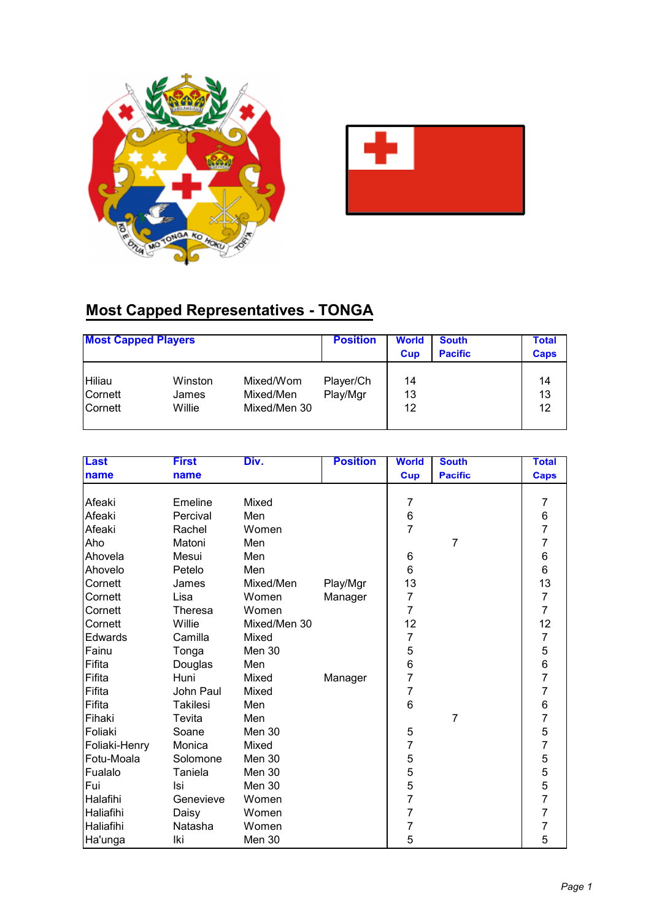



## **Most Capped Representatives - TONGA**

| <b>Most Capped Players</b> |         |              | <b>Position</b> | <b>World</b><br>Cup | <b>South</b><br><b>Pacific</b> | <b>Total</b><br><b>Caps</b> |
|----------------------------|---------|--------------|-----------------|---------------------|--------------------------------|-----------------------------|
| Hiliau                     | Winston | Mixed/Wom    | Player/Ch       | 14                  |                                | 14                          |
| Cornett                    | James   | Mixed/Men    | Play/Mgr        | 13                  |                                | 13                          |
| Cornett                    | Willie  | Mixed/Men 30 |                 | 12                  |                                | 12                          |

| <b>Last</b>   | <b>First</b>    | Div.         | <b>Position</b> | <b>World</b>   | <b>South</b>   | <b>Total</b>                               |
|---------------|-----------------|--------------|-----------------|----------------|----------------|--------------------------------------------|
| name          | name            |              |                 | <b>Cup</b>     | <b>Pacific</b> | <b>Caps</b>                                |
|               |                 |              |                 |                |                |                                            |
| Afeaki        | Emeline         | Mixed        |                 | 7              |                | 7                                          |
| Afeaki        | Percival        | Men          |                 | 6              |                | 6                                          |
| Afeaki        | Rachel          | Women        |                 | $\overline{7}$ |                | $\overline{7}$                             |
| Aho           | Matoni          | Men          |                 |                | $\overline{7}$ | 7                                          |
| Ahovela       | Mesui           | Men          |                 | 6              |                | 6                                          |
| Ahovelo       | Petelo          | Men          |                 | 6              |                | 6                                          |
| Cornett       | James           | Mixed/Men    | Play/Mgr        | 13             |                | 13                                         |
| Cornett       | Lisa            | Women        | Manager         | 7              |                | $\overline{7}$                             |
| Cornett       | <b>Theresa</b>  | Women        |                 | $\overline{7}$ |                | $\overline{7}$                             |
| Cornett       | Willie          | Mixed/Men 30 |                 | 12             |                | 12                                         |
| Edwards       | Camilla         | Mixed        |                 | $\overline{7}$ |                | $\overline{7}$                             |
| Fainu         | Tonga           | Men 30       |                 | 5              |                | 5<br>6<br>7                                |
| Fifita        | Douglas         | Men          |                 | $\frac{6}{7}$  |                |                                            |
| Fifita        | Huni            | Mixed        | Manager         |                |                |                                            |
| Fifita        | John Paul       | Mixed        |                 | $\overline{7}$ |                | $\overline{7}$                             |
| Fifita        | <b>Takilesi</b> | Men          |                 | 6              |                | 6                                          |
| Fihaki        | Tevita          | Men          |                 |                | $\overline{7}$ | $\overline{7}$                             |
| Foliaki       | Soane           | Men 30       |                 | 5              |                | $\frac{5}{7}$                              |
| Foliaki-Henry | Monica          | Mixed        |                 | $\overline{7}$ |                |                                            |
| Fotu-Moala    | Solomone        | Men 30       |                 | 5              |                | $\begin{array}{c} 5 \\ 5 \\ 5 \end{array}$ |
| Fualalo       | Taniela         | Men 30       |                 | 5              |                |                                            |
| Fui           | Isi             | Men 30       |                 | 5              |                |                                            |
| Halafihi      | Genevieve       | Women        |                 | $\overline{7}$ |                | $\overline{7}$                             |
| Haliafihi     | Daisy           | Women        |                 | $\overline{7}$ |                | $\overline{7}$                             |
| Haliafihi     | Natasha         | Women        |                 | $\overline{7}$ |                | $\overline{7}$                             |
| Ha'unga       | Iki             | Men 30       |                 | 5              |                | 5                                          |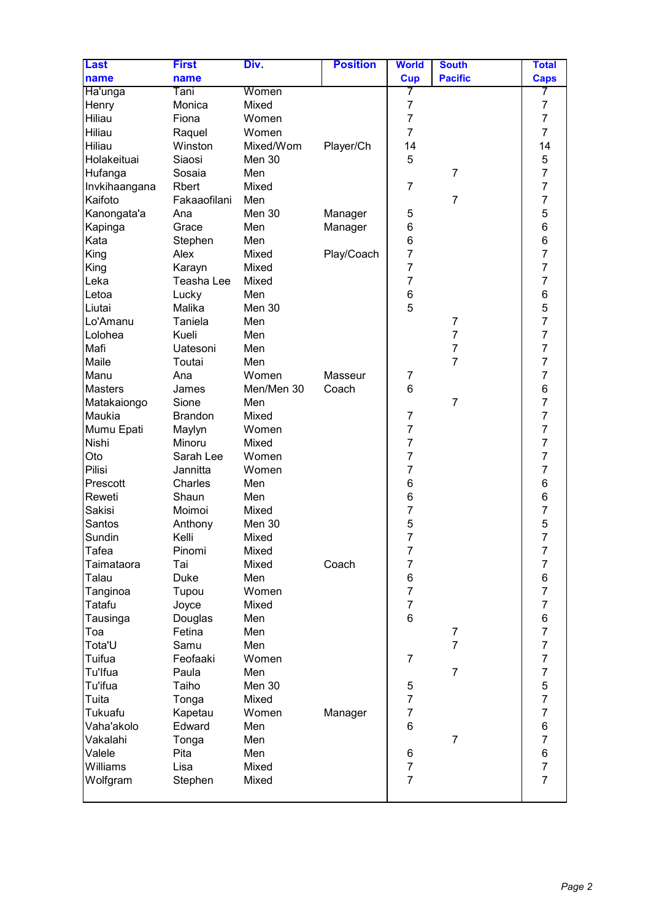| <b>Last</b>      | <b>First</b>   | Div.       | <b>Position</b> | <b>World</b>    | <b>South</b>                     | <b>Total</b>   |
|------------------|----------------|------------|-----------------|-----------------|----------------------------------|----------------|
| name             | name           |            |                 | <b>Cup</b>      | <b>Pacific</b>                   | <b>Caps</b>    |
| Ha'unga          | Tani           | Women      |                 | 7               |                                  | 7              |
| Henry            | Monica         | Mixed      |                 | $\overline{7}$  |                                  | 7              |
| Hiliau           | Fiona          | Women      |                 | $\overline{7}$  |                                  | $\overline{7}$ |
| Hiliau           | Raquel         | Women      |                 | $\overline{7}$  |                                  | $\overline{7}$ |
| Hiliau           | Winston        | Mixed/Wom  | Player/Ch       | 14              |                                  | 14             |
| Holakeituai      | Siaosi         | Men 30     |                 | 5               |                                  | 5              |
| Hufanga          | Sosaia         | Men        |                 |                 | $\overline{7}$                   | $\overline{7}$ |
| Invkihaangana    | Rbert          | Mixed      |                 | $\overline{7}$  |                                  | $\overline{7}$ |
| Kaifoto          | Fakaaofilani   | Men        |                 |                 | $\overline{7}$                   | $\overline{7}$ |
| Kanongata'a      | Ana            | Men 30     | Manager         | 5               |                                  | 5              |
| Kapinga          | Grace          | Men        | Manager         | 6               |                                  | 6              |
| Kata             | Stephen        | Men        |                 | 6               |                                  | 6              |
| King             | Alex           | Mixed      | Play/Coach      | $\overline{7}$  |                                  | $\overline{7}$ |
| King             | Karayn         | Mixed      |                 | $\overline{7}$  |                                  | $\overline{7}$ |
| Leka             | Teasha Lee     | Mixed      |                 | $\overline{7}$  |                                  | $\overline{7}$ |
| Letoa            | Lucky          | Men        |                 | 6               |                                  | 6              |
| Liutai           | Malika         | Men 30     |                 | 5               |                                  |                |
| Lo'Amanu         | Taniela        | Men        |                 |                 | $\overline{7}$                   | $\frac{5}{7}$  |
| Lolohea          | Kueli          | Men        |                 |                 | 7                                | $\overline{7}$ |
| Mafi             | Uatesoni       | Men        |                 |                 | $\overline{7}$                   | $\overline{7}$ |
| Maile            | Toutai         | Men        |                 |                 | $\overline{7}$                   | $\overline{7}$ |
| Manu             | Ana            | Women      | Masseur         | $\overline{7}$  |                                  | $\overline{7}$ |
| <b>Masters</b>   | James          | Men/Men 30 | Coach           | 6               |                                  | 6              |
| Matakaiongo      | Sione          | Men        |                 |                 | $\overline{7}$                   | $\overline{7}$ |
| Maukia           | <b>Brandon</b> | Mixed      |                 | $\overline{7}$  |                                  | $\overline{7}$ |
| Mumu Epati       | Maylyn         | Women      |                 | $\overline{7}$  |                                  | $\overline{7}$ |
| Nishi            | Minoru         | Mixed      |                 | $\overline{7}$  |                                  | $\overline{7}$ |
| Oto              | Sarah Lee      | Women      |                 | $\overline{7}$  |                                  | $\overline{7}$ |
| Pilisi           | Jannitta       | Women      |                 | $\overline{7}$  |                                  | $\overline{7}$ |
| Prescott         | Charles        | Men        |                 | 6               |                                  | 6              |
| Reweti           | Shaun          | Men        |                 | 6               |                                  |                |
| Sakisi           | Moimoi         | Mixed      |                 | $\overline{7}$  |                                  | $\frac{6}{7}$  |
| Santos           | Anthony        | Men 30     |                 | 5               |                                  | 5              |
| Sundin           | Kelli          | Mixed      |                 | $\overline{7}$  |                                  | $\overline{7}$ |
| <b>Tafea</b>     | Pinomi         | Mixed      |                 | 7               |                                  | 7              |
| Taimataora       | Tai            | Mixed      | Coach           | $\overline{7}$  |                                  | $\overline{7}$ |
| Talau            | Duke           | Men        |                 | 6               |                                  | 6              |
| Tanginoa         | Tupou          | Women      |                 | $\overline{7}$  |                                  | $\overline{7}$ |
| Tatafu           | Joyce          | Mixed      |                 | $\overline{7}$  |                                  | $\overline{7}$ |
|                  |                | Men        |                 | $6\phantom{1}6$ |                                  | 6              |
| Tausinga         | Douglas        | Men        |                 |                 |                                  | $\overline{7}$ |
| Toa              | Fetina         |            |                 |                 | $\overline{7}$<br>$\overline{7}$ | $\overline{7}$ |
| Tota'U<br>Tuifua | Samu           | Men        |                 | $\overline{7}$  |                                  | $\overline{7}$ |
|                  | Feofaaki       | Women      |                 |                 | $\overline{7}$                   | $\overline{7}$ |
| Tu'lfua          | Paula          | Men        |                 |                 |                                  |                |
| Tu'ifua          | Taiho          | Men 30     |                 | 5               |                                  | 5              |
| Tuita            | Tonga          | Mixed      |                 | $\overline{7}$  |                                  | $\overline{7}$ |
| Tukuafu          | Kapetau        | Women      | Manager         | $\overline{7}$  |                                  | $\overline{7}$ |
| Vaha'akolo       | Edward         | Men        |                 | $6\phantom{1}6$ |                                  | 6              |
| Vakalahi         | Tonga          | Men        |                 |                 | $\overline{7}$                   | $\overline{7}$ |
| Valele           | Pita           | Men        |                 | 6               |                                  | 6              |
| Williams         | Lisa           | Mixed      |                 | $\overline{7}$  |                                  | $\overline{7}$ |
| Wolfgram         | Stephen        | Mixed      |                 | $\overline{7}$  |                                  | $\overline{7}$ |
|                  |                |            |                 |                 |                                  |                |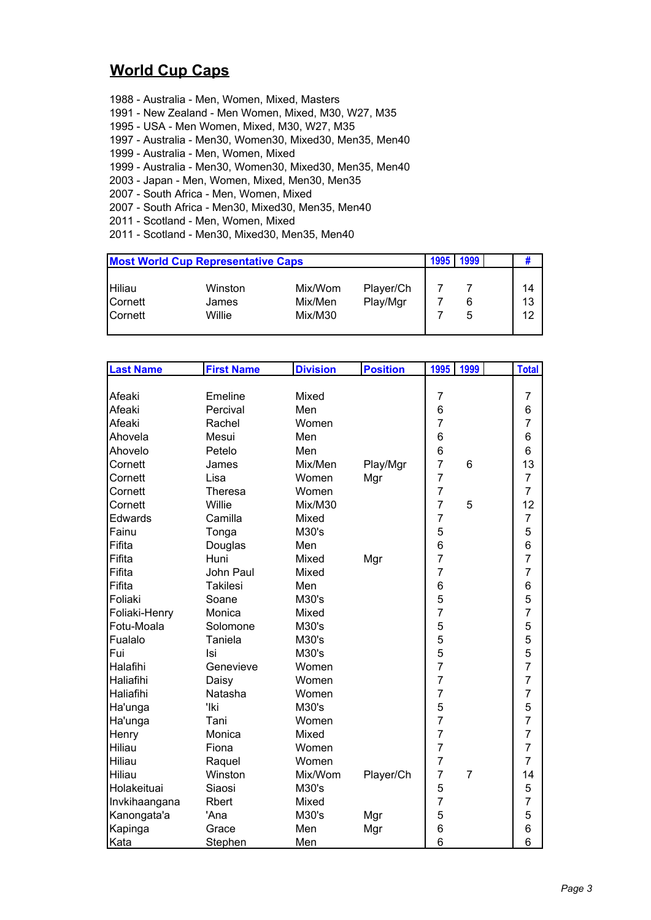## **World Cup Caps**

- 1988 Australia Men, Women, Mixed, Masters 1991 - New Zealand - Men Women, Mixed, M30, W27, M35 1995 - USA - Men Women, Mixed, M30, W27, M35 1997 - Australia - Men30, Women30, Mixed30, Men35, Men40 1999 - Australia - Men, Women, Mixed 1999 - Australia - Men30, Women30, Mixed30, Men35, Men40
- 2003 Japan Men, Women, Mixed, Men30, Men35
- 2007 South Africa Men, Women, Mixed
- 2007 South Africa Men30, Mixed30, Men35, Men40
- 2011 Scotland Men, Women, Mixed
- 2011 Scotland Men30, Mixed30, Men35, Men40

| <b>Most World Cup Representative Caps</b> |         |         |           |  | 1999 |    |
|-------------------------------------------|---------|---------|-----------|--|------|----|
| Hiliau                                    | Winston | Mix/Wom | Player/Ch |  |      | 14 |
| <b>Cornett</b>                            | James   | Mix/Men | Play/Mgr  |  |      | 13 |
| <b>Cornett</b>                            | Willie  | Mix/M30 |           |  | 5    | 12 |

| <b>Last Name</b> | <b>First Name</b> | <b>Division</b> | <b>Position</b> | 1995           | 1999           | <b>Total</b>   |
|------------------|-------------------|-----------------|-----------------|----------------|----------------|----------------|
|                  |                   |                 |                 |                |                |                |
| Afeaki           | Emeline           | Mixed           |                 | $\overline{7}$ |                | $\overline{7}$ |
| Afeaki           | Percival          | Men             |                 | 6              |                | 6              |
| Afeaki           | Rachel            | Women           |                 | $\overline{7}$ |                | $\overline{7}$ |
| Ahovela          | Mesui             | Men             |                 | 6              |                | 6              |
| Ahovelo          | Petelo            | Men             |                 | 6              |                | 6              |
| Cornett          | James             | Mix/Men         | Play/Mgr        | $\overline{7}$ | 6              | 13             |
| Cornett          | Lisa              | Women           | Mgr             | $\overline{7}$ |                | $\overline{7}$ |
| Cornett          | <b>Theresa</b>    | Women           |                 | $\overline{7}$ |                | $\overline{7}$ |
| Cornett          | Willie            | Mix/M30         |                 | $\overline{7}$ | 5              | 12             |
| Edwards          | Camilla           | Mixed           |                 | $\overline{7}$ |                | $\overline{7}$ |
| Fainu            | Tonga             | M30's           |                 | 5              |                | 5              |
| Fifita           | Douglas           | Men             |                 | 6              |                | 6              |
| Fifita           | Huni              | Mixed           | Mgr             | $\overline{7}$ |                | 7              |
| Fifita           | John Paul         | Mixed           |                 | $\overline{7}$ |                | 7              |
| Fifita           | <b>Takilesi</b>   | Men             |                 | 6              |                | 6              |
| Foliaki          | Soane             | M30's           |                 | 5              |                | 5              |
| Foliaki-Henry    | Monica            | Mixed           |                 | $\overline{7}$ |                | $\overline{7}$ |
| Fotu-Moala       | Solomone          | M30's           |                 | 5              |                | 5              |
| Fualalo          | Taniela           | M30's           |                 | 5              |                | 5              |
| Fui              | Isi               | M30's           |                 | 5              |                | 5              |
| Halafihi         | Genevieve         | Women           |                 | $\overline{7}$ |                | $\overline{7}$ |
| Haliafihi        | Daisy             | Women           |                 | $\overline{7}$ |                | $\overline{7}$ |
| Haliafihi        | Natasha           | Women           |                 | $\overline{7}$ |                | $\overline{7}$ |
| Ha'unga          | 'lki              | M30's           |                 | 5              |                | 5              |
| Ha'unga          | Tani              | Women           |                 | $\overline{7}$ |                | $\overline{7}$ |
| Henry            | Monica            | Mixed           |                 | $\overline{7}$ |                | $\overline{7}$ |
| Hiliau           | Fiona             | Women           |                 | $\overline{7}$ |                | 7              |
| Hiliau           | Raquel            | Women           |                 | $\overline{7}$ |                | $\overline{7}$ |
| Hiliau           | Winston           | Mix/Wom         | Player/Ch       | $\overline{7}$ | $\overline{7}$ | 14             |
| Holakeituai      | Siaosi            | M30's           |                 | 5              |                | 5              |
| Invkihaangana    | Rbert             | Mixed           |                 | $\overline{7}$ |                | 7              |
| Kanongata'a      | 'Ana              | M30's           | Mgr             | 5              |                | 5              |
| Kapinga          | Grace             | Men             | Mgr             | 6              |                | 6              |
| Kata             | Stephen           | Men             |                 | 6              |                | 6              |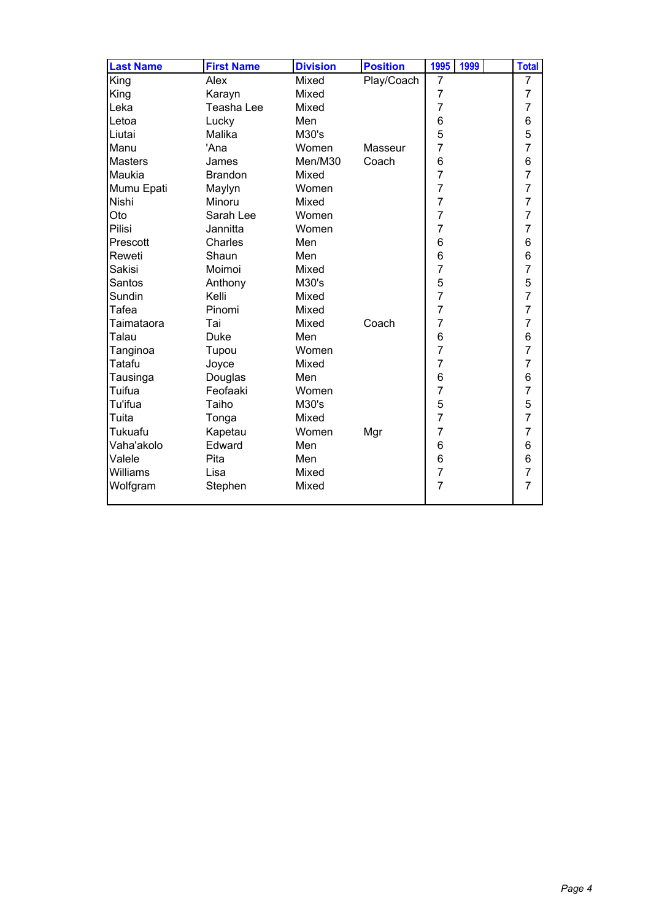| <b>Last Name</b> | <b>First Name</b> | <b>Division</b> | <b>Position</b> | 1995           | 1999 | <b>Total</b>   |
|------------------|-------------------|-----------------|-----------------|----------------|------|----------------|
| King             | Alex              | Mixed           | Play/Coach      | 7              |      | 7              |
| King             | Karayn            | Mixed           |                 | $\overline{7}$ |      | $\overline{7}$ |
| Leka             | Teasha Lee        | Mixed           |                 | $\overline{7}$ |      | $\overline{7}$ |
| Letoa            | Lucky             | Men             |                 | 6              |      | 6              |
| Liutai           | Malika            | M30's           |                 | 5              |      | 5              |
| Manu             | 'Ana              | Women           | Masseur         | $\overline{7}$ |      | $\overline{7}$ |
| <b>Masters</b>   | James             | Men/M30         | Coach           | 6              |      | 6              |
| Maukia           | <b>Brandon</b>    | Mixed           |                 | $\overline{7}$ |      | $\overline{7}$ |
| Mumu Epati       | Maylyn            | Women           |                 | $\overline{7}$ |      | $\overline{7}$ |
| Nishi            | Minoru            | Mixed           |                 | $\overline{7}$ |      | $\overline{7}$ |
| Oto              | Sarah Lee         | Women           |                 | $\overline{7}$ |      | $\overline{7}$ |
| Pilisi           | Jannitta          | Women           |                 | $\overline{7}$ |      | $\overline{7}$ |
| Prescott         | Charles           | Men             |                 | 6              |      | $\,6$          |
| Reweti           | Shaun             | Men             |                 | 6              |      | 6              |
| Sakisi           | Moimoi            | Mixed           |                 | $\overline{7}$ |      | $\overline{7}$ |
| Santos           | Anthony           | M30's           |                 | 5              |      | $\frac{5}{7}$  |
| Sundin           | Kelli             | Mixed           |                 | $\overline{7}$ |      |                |
| <b>Tafea</b>     | Pinomi            | Mixed           |                 | $\overline{7}$ |      | $\overline{7}$ |
| Taimataora       | Tai               | Mixed           | Coach           | $\overline{7}$ |      | $\overline{7}$ |
| Talau            | <b>Duke</b>       | Men             |                 | 6              |      | $\,6$          |
| Tanginoa         | Tupou             | Women           |                 | $\overline{7}$ |      | $\overline{7}$ |
| Tatafu           | Joyce             | Mixed           |                 | $\overline{7}$ |      | $\overline{7}$ |
| Tausinga         | Douglas           | Men             |                 | 6              |      | 6              |
| Tuifua           | Feofaaki          | Women           |                 | $\overline{7}$ |      | $\overline{7}$ |
| Tu'ifua          | Taiho             | M30's           |                 | 5              |      | 5              |
| Tuita            | Tonga             | Mixed           |                 | $\overline{7}$ |      | $\overline{7}$ |
| Tukuafu          | Kapetau           | Women           | Mgr             | $\overline{7}$ |      | $\overline{7}$ |
| Vaha'akolo       | Edward            | Men             |                 | 6              |      | $\,6$          |
| Valele           | Pita              | Men             |                 | 6              |      | $\overline{6}$ |
| Williams         | Lisa              | Mixed           |                 | $\overline{7}$ |      | $\overline{7}$ |
| Wolfgram         | Stephen           | Mixed           |                 | $\overline{7}$ |      | $\overline{7}$ |
|                  |                   |                 |                 |                |      |                |